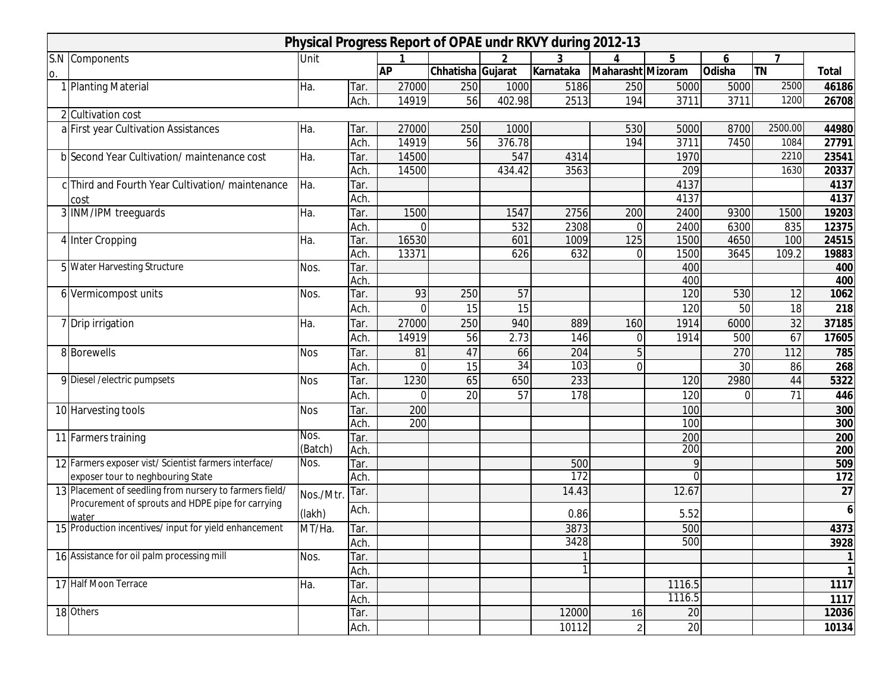|    | Physical Progress Report of OPAE undr RKVY during 2012-13      |            |              |           |                   |        |           |                   |              |          |           |              |
|----|----------------------------------------------------------------|------------|--------------|-----------|-------------------|--------|-----------|-------------------|--------------|----------|-----------|--------------|
|    | S.N Components                                                 | Unit       |              |           |                   | 2      | 3         |                   | 5            | 6        |           |              |
| 0. |                                                                |            |              | <b>AP</b> | Chhatisha Gujarat |        | Karnataka | Maharasht Mizoram |              | Odisha   | <b>TN</b> | <b>Total</b> |
|    | 1 Planting Material                                            | Ha.        | Tar.         | 27000     | 250               | 1000   | 5186      | 250               | 5000         | 5000     | 2500      | 46186        |
|    |                                                                |            | Ach.         | 14919     | 56                | 402.98 | 2513      | 194               | 3711         | 3711     | 1200      | 26708        |
|    | 2 Cultivation cost                                             |            |              |           |                   |        |           |                   |              |          |           |              |
|    | a First year Cultivation Assistances                           | Ha.        | Tar.         | 27000     | 250               | 1000   |           | 530               | 5000         | 8700     | 2500.00   | 44980        |
|    |                                                                |            | Ach.         | 14919     | 56                | 376.78 |           | 194               | 3711         | 7450     | 1084      | 27791        |
|    | b Second Year Cultivation/ maintenance cost                    | Ha.        | Tar.         | 14500     |                   | 547    | 4314      |                   | 1970         |          | 2210      | 23541        |
|    |                                                                |            | Ach.         | 14500     |                   | 434.42 | 3563      |                   | 209          |          | 1630      | 20337        |
|    | c Third and Fourth Year Cultivation/ maintenance               | Ha.        | Tar.         |           |                   |        |           |                   | 4137         |          |           | 4137         |
|    | cost                                                           |            | Ach.         |           |                   |        |           |                   | 4137         |          |           | 4137         |
|    | 3 INM/IPM treeguards                                           | Ha.        | Tar.         | 1500      |                   | 1547   | 2756      | 200               | 2400         | 9300     | 1500      | 19203        |
|    |                                                                |            | Ach.         | $\Omega$  |                   | 532    | 2308      | $\mathbf 0$       | 2400         | 6300     | 835       | 12375        |
|    | 4 Inter Cropping                                               | Ha.        | Tar.         | 16530     |                   | 601    | 1009      | 125               | 1500         | 4650     | 100       | 24515        |
|    |                                                                |            | Ach          | 13371     |                   | 626    | 632       | $\Omega$          | 1500         | 3645     | 109.2     | 19883        |
|    | 5 Water Harvesting Structure                                   | Nos.       | Tar.         |           |                   |        |           |                   | 400          |          |           | 400          |
|    |                                                                |            | Ach.         |           |                   |        |           |                   | 400          |          |           | 400          |
|    | 6 Vermicompost units                                           | Nos.       | Tar.         | 93        | 250               | 57     |           |                   | 120          | 530      | 12        | 1062         |
|    |                                                                |            | Ach.         | 0         | 15                | 15     |           |                   | 120          | 50       | 18        | 218          |
|    | 7 Drip irrigation                                              | Ha.        | Tar.         | 27000     | 250               | 940    | 889       | 160               | 1914         | 6000     | 32        | 37185        |
|    |                                                                |            | Ach.         | 14919     | 56                | 2.73   | 146       | $\overline{0}$    | 1914         | 500      | 67        | 17605        |
|    | 8 Borewells                                                    | <b>Nos</b> | Tar.         | 81        | 47                | 66     | 204       | 5                 |              | 270      | 112       | 785          |
|    |                                                                |            | Ach.         | $\Omega$  | 15                | 34     | 103       | $\overline{0}$    |              | 30       | 86        | 268          |
|    | 9 Diesel / electric pumpsets                                   | <b>Nos</b> | Tar.         | 1230      | 65                | 650    | 233       |                   | 120          | 2980     | 44        | 5322         |
|    |                                                                |            | Ach.         | $\Omega$  | 20                | 57     | 178       |                   | 120          | $\Omega$ | 71        | 446          |
|    | 10 Harvesting tools                                            | <b>Nos</b> | Tar.         | 200       |                   |        |           |                   | 100          |          |           | 300          |
|    |                                                                |            | Ach.         | 200       |                   |        |           |                   | 100          |          |           | 300          |
|    | 11 Farmers training                                            | Nos.       | Tar.         |           |                   |        |           |                   | 200          |          |           | 200          |
|    |                                                                | (Batch)    | Ach.         |           |                   |        |           |                   | 200          |          |           | 200          |
|    | 12 Farmers exposer vist/Scientist farmers interface/           | Nos.       | Tar.         |           |                   |        | 500       |                   | $\mathsf{Q}$ |          |           | 509          |
|    | exposer tour to neghbouring State                              |            | Ach.         |           |                   |        | 172       |                   | $\Omega$     |          |           | 172          |
|    | 13 Placement of seedling from nursery to farmers field/        | Nos./Mtr.  | Tar.         |           |                   |        | 14.43     |                   | 12.67        |          |           | 27           |
|    | Procurement of sprouts and HDPE pipe for carrying              | (lakh)     | Ach.         |           |                   |        | 0.86      |                   | 5.52         |          |           | 6            |
|    | wateı<br>15 Production incentives/ input for yield enhancement | MT/Ha.     | Tar.         |           |                   |        | 3873      |                   | 500          |          |           | 4373         |
|    |                                                                |            |              |           |                   |        | 3428      |                   | 500          |          |           |              |
|    | 16 Assistance for oil palm processing mill                     | Nos.       | Ach.<br>Tar. |           |                   |        |           |                   |              |          |           | 3928         |
|    |                                                                |            | Ach.         |           |                   |        |           |                   |              |          |           | 1<br>1       |
|    | 17 Half Moon Terrace                                           | Ha.        | Tar.         |           |                   |        |           |                   | 1116.5       |          |           | 1117         |
|    |                                                                |            | Ach.         |           |                   |        |           |                   | 1116.5       |          |           |              |
|    | 18 Others                                                      |            |              |           |                   |        | 12000     | 16                | 20           |          |           | 1117         |
|    |                                                                |            | Tar.         |           |                   |        |           |                   |              |          |           | 12036        |
|    |                                                                |            | Ach.         |           |                   |        | 10112     | $\mathbf{2}$      | 20           |          |           | 10134        |